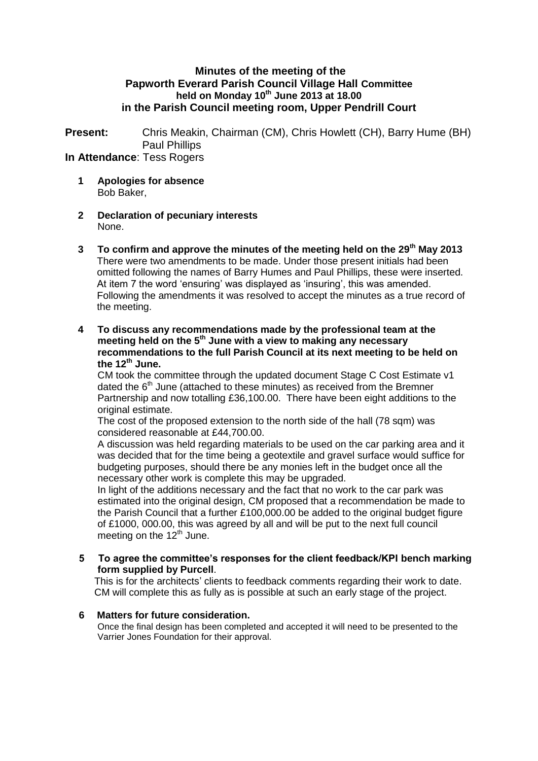### **Minutes of the meeting of the Papworth Everard Parish Council Village Hall Committee held on Monday 10th June 2013 at 18.00 in the Parish Council meeting room, Upper Pendrill Court**

**Present:** Chris Meakin, Chairman (CM), Chris Howlett (CH), Barry Hume (BH) Paul Phillips

## **In Attendance**: Tess Rogers

- **1 Apologies for absence** Bob Baker,
- **2 Declaration of pecuniary interests** None.
- **3 To confirm and approve the minutes of the meeting held on the 29th May 2013** There were two amendments to be made. Under those present initials had been omitted following the names of Barry Humes and Paul Phillips, these were inserted. At item 7 the word 'ensuring' was displayed as 'insuring', this was amended. Following the amendments it was resolved to accept the minutes as a true record of the meeting.
- **4 To discuss any recommendations made by the professional team at the meeting held on the 5th June with a view to making any necessary recommendations to the full Parish Council at its next meeting to be held on the 12th June.**

CM took the committee through the updated document Stage C Cost Estimate v1 dated the  $6<sup>th</sup>$  June (attached to these minutes) as received from the Bremner Partnership and now totalling £36,100.00. There have been eight additions to the original estimate.

The cost of the proposed extension to the north side of the hall (78 sqm) was considered reasonable at £44,700.00.

A discussion was held regarding materials to be used on the car parking area and it was decided that for the time being a geotextile and gravel surface would suffice for budgeting purposes, should there be any monies left in the budget once all the necessary other work is complete this may be upgraded.

In light of the additions necessary and the fact that no work to the car park was estimated into the original design, CM proposed that a recommendation be made to the Parish Council that a further  $£100,000,00$  be added to the original budget figure of £1000, 000.00, this was agreed by all and will be put to the next full council meeting on the  $12<sup>th</sup>$  June.

### **5 To agree the committee's responses for the client feedback/KPI bench marking form supplied by Purcell**.

This is for the architects' clients to feedback comments regarding their work to date. CM will complete this as fully as is possible at such an early stage of the project.

### **6 Matters for future consideration.**

Once the final design has been completed and accepted it will need to be presented to the Varrier Jones Foundation for their approval.